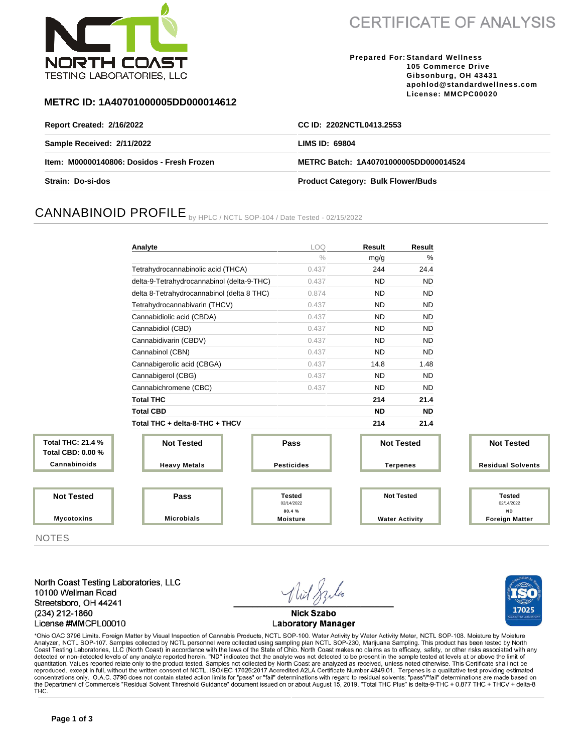

**CERTIFICATE OF ANALYSIS** 

**Prepared For: Standard Wellness 105 Commerce Drive Gibsonburg, OH 43431 apohlod@standardwellness.com License: MMCPC00020**

## **METRC ID: 1A40701000005DD000014612**

| Report Created: 2/16/2022                  | CC ID: 2202NCTL0413.2553                  |
|--------------------------------------------|-------------------------------------------|
| Sample Received: 2/11/2022                 | LIMS ID: 69804                            |
| Item: M00000140806: Dosidos - Fresh Frozen | METRC Batch: 1A40701000005DD000014524     |
| Strain: Do-si-dos                          | <b>Product Category: Bulk Flower/Buds</b> |

# CANNABINOID PROFILE by HPLC / NCTL SOP-104 / Date Tested - 02/15/2022

|                                                      | Analyte                                    | LOQ                                  | Result            | Result                |                                          |  |
|------------------------------------------------------|--------------------------------------------|--------------------------------------|-------------------|-----------------------|------------------------------------------|--|
|                                                      |                                            | $\frac{0}{0}$                        | mg/g              | %                     |                                          |  |
|                                                      | Tetrahydrocannabinolic acid (THCA)         | 0.437                                | 244               | 24.4                  |                                          |  |
|                                                      | delta-9-Tetrahydrocannabinol (delta-9-THC) | 0.437                                | <b>ND</b>         | <b>ND</b>             |                                          |  |
|                                                      | delta 8-Tetrahydrocannabinol (delta 8 THC) | 0.874                                | <b>ND</b>         | <b>ND</b>             |                                          |  |
|                                                      | Tetrahydrocannabivarin (THCV)              | 0.437                                | <b>ND</b>         | <b>ND</b>             |                                          |  |
|                                                      | Cannabidiolic acid (CBDA)                  | 0.437                                | <b>ND</b>         | <b>ND</b>             |                                          |  |
|                                                      | Cannabidiol (CBD)                          | 0.437                                | <b>ND</b>         | <b>ND</b>             |                                          |  |
|                                                      | Cannabidivarin (CBDV)                      | 0.437                                | <b>ND</b>         | <b>ND</b>             |                                          |  |
|                                                      | Cannabinol (CBN)                           | 0.437                                | <b>ND</b>         | <b>ND</b>             |                                          |  |
|                                                      | Cannabigerolic acid (CBGA)                 | 0.437                                | 14.8              | 1.48                  |                                          |  |
|                                                      | Cannabigerol (CBG)                         | 0.437                                | <b>ND</b>         | <b>ND</b>             |                                          |  |
|                                                      | Cannabichromene (CBC)                      | 0.437                                | <b>ND</b>         | <b>ND</b>             |                                          |  |
|                                                      | <b>Total THC</b>                           |                                      | 214               | 21.4                  |                                          |  |
|                                                      | <b>Total CBD</b>                           |                                      | <b>ND</b>         | <b>ND</b>             |                                          |  |
|                                                      | Total THC + delta-8-THC + THCV             |                                      | 214               | 21.4                  |                                          |  |
| <b>Total THC: 21.4 %</b><br><b>Total CBD: 0.00 %</b> | <b>Not Tested</b>                          | Pass                                 | <b>Not Tested</b> |                       | <b>Not Tested</b>                        |  |
| Cannabinoids                                         | <b>Heavy Metals</b>                        | <b>Pesticides</b>                    |                   | <b>Terpenes</b>       | <b>Residual Solvents</b>                 |  |
|                                                      |                                            |                                      |                   |                       |                                          |  |
| <b>Not Tested</b>                                    | <b>Pass</b>                                | <b>Tested</b><br>02/14/2022<br>80.4% |                   | <b>Not Tested</b>     | <b>Tested</b><br>02/14/2022<br><b>ND</b> |  |
| <b>Mycotoxins</b>                                    | <b>Microbials</b>                          | <b>Moisture</b>                      |                   | <b>Water Activity</b> | <b>Foreign Matter</b>                    |  |

**NOTES** 

North Coast Testing Laboratories, LLC 10100 Wellman Road Streetsboro, OH 44241 (234) 212-1860 License #MMCPL00010

**Nick Szabo Laboratory Manager** 



\*Ohio OAC 3796 Limits. Foreign Matter by Visual Inspection of Cannabis Products, NCTL SOP-100. Water Activity by Water Activity Meter, NCTL SOP-108. Moisture by Moisture Analyzer, NCTL SOP-107. Samples collected by NCTL personnel were collected using sampling plan NCTL SOP-230, Marijuana Sampling. This product has been tested by North Coast Testing Laboratories, LLC (North Coast) in accordance with the laws of the State of Ohio. North Coast makes no claims as to efficacy, safety, or other risks associated with any detected or non-detected levels of any quantitation. Values reported relate only to the product tested. Samples not collected by North Coast are analyzed as received, unless noted otherwise. This Certificate shall not be reproduced, except in full, without the written consent of NCTL. ISO/IEC 17025:2017 Accredited A2LA Certificate Number 4849.01. Terpenes is a qualitative test providing estimated concentrations only. O.A.C. 3796 does not contain stated action limits for "pass" or "fail" determinations with regard to residual solvents; "pass"/"fail" determinations are made based on the Department of Commerce's "Resi THC.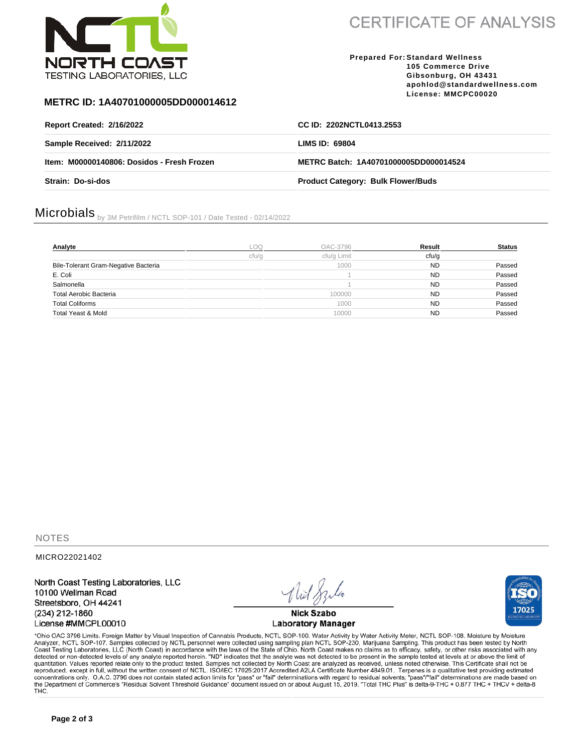

**CERTIFICATE OF ANALYSIS** 

### **Prepared For: Standard Wellness 105 Commerce Drive Gibsonburg, OH 43431 apohlod@standardwellness.com License: MMCPC00020**

## **METRC ID: 1A40701000005DD000014612**

| Report Created: 2/16/2022                  | CC ID: 2202NCTL0413.2553                  |
|--------------------------------------------|-------------------------------------------|
| Sample Received: 2/11/2022                 | LIMS ID: 69804                            |
| Item: M00000140806: Dosidos - Fresh Frozen | METRC Batch: 1A40701000005DD000014524     |
| Strain: Do-si-dos                          | <b>Product Category: Bulk Flower/Buds</b> |

# Microbials by 3M Petrifilm / NCTL SOP-101 / Date Tested - 02/14/2022

| Analyte                              | nc    | OAC-3796    | Result    | <b>Status</b> |
|--------------------------------------|-------|-------------|-----------|---------------|
|                                      | cfu/q | cfu/g Limit | cfu/q     |               |
| Bile-Tolerant Gram-Negative Bacteria |       | 1000        | <b>ND</b> | Passed        |
| E. Coli                              |       |             | <b>ND</b> | Passed        |
| Salmonella                           |       |             | <b>ND</b> | Passed        |
| <b>Total Aerobic Bacteria</b>        |       | 100000      | <b>ND</b> | Passed        |
| <b>Total Coliforms</b>               |       | 1000        | <b>ND</b> | Passed        |
| Total Yeast & Mold                   |       | 10000       | <b>ND</b> | Passed        |

**NOTES** 

MICRO22021402

North Coast Testing Laboratories, LLC 10100 Wellman Road Streetsboro, OH 44241 (234) 212-1860 License #MMCPL00010

**Nick Szabo Laboratory Manager** 



\*Ohio OAC 3796 Limits. Foreign Matter by Visual Inspection of Cannabis Products, NCTL SOP-100. Water Activity by Water Activity Meter, NCTL SOP-108. Moisture by Moisture Analyzer, NCTL SOP-107. Samples collected by NCTL personnel were collected using sampling plan NCTL SOP-230, Marijuana Sampling. This product has been tested by North<br>Coast Testing Laboratories, LLC (North Coast) in accord quantitation. Values reported relate only to the product tested. Samples not collected by North Coast are analyzed as received, unless noted otherwise. This Certificate shall not be reproduced, except in full, without the written consent of NCTL. ISO/IEC 17025:2017 Accredited A2LA Certificate Number 4849.01. Terpenes is a qualitative test providing estimated concentrations only. O.A.C. 3796 does not contain stated action limits for "pass" or "fail" determinations with regard to residual solvents; "pass"/"fail" determinations are made based on the Department of Commerce's "Resi THC.